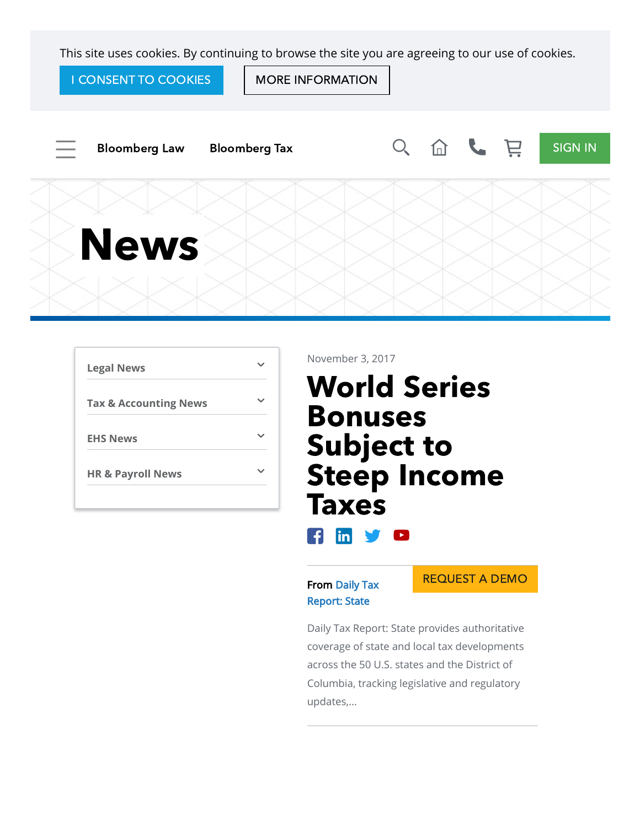This site uses cookies. By continuing to browse the site you are agreeing to our use of cookies.

I CONSENT TO COOKIES | | MORE INFORMATION



| <b>Legal News</b>                |  |
|----------------------------------|--|
| <b>Tax &amp; Accounting News</b> |  |
| <b>EHS News</b>                  |  |
| <b>HR &amp; Payroll News</b>     |  |

November 3, 2017

# World Series Bonuses Subject to Steep Income Taxes

# $\mathbf{f}$  in y o

### From Daily Tax [Report: State](https://www.bna.com/Daily-Tax-Report-State/)

REQUEST A DEMO

Daily Tax Report: State provides authoritative coverage of state and local tax developments across the 50 U.S. states and the District of Columbia, tracking legislative and regulatory updates,...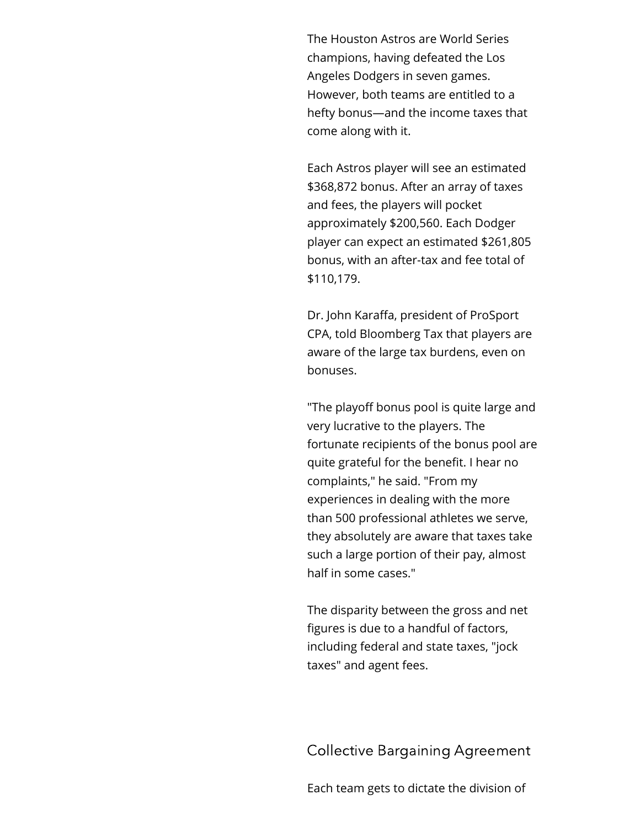The Houston Astros are World Series champions, having defeated the Los Angeles Dodgers in seven games. However, both teams are entitled to a hefty bonus—and the income taxes that come along with it.

Each Astros player will see an estimated \$368,872 bonus. After an array of taxes and fees, the players will pocket approximately \$200,560. Each Dodger player can expect an estimated \$261,805 bonus, with an after-tax and fee total of \$110,179.

Dr. John Karaffa, president of ProSport CPA, told Bloomberg Tax that players are aware of the large tax burdens, even on bonuses.

"The playoff bonus pool is quite large and very lucrative to the players. The fortunate recipients of the bonus pool are quite grateful for the benefit. I hear no complaints," he said. "From my experiences in dealing with the more than 500 professional athletes we serve, they absolutely are aware that taxes take such a large portion of their pay, almost half in some cases."

The disparity between the gross and net figures is due to a handful of factors, including federal and state taxes, "jock taxes" and agent fees.

Collective Bargaining Agreement

Each team gets to dictate the division of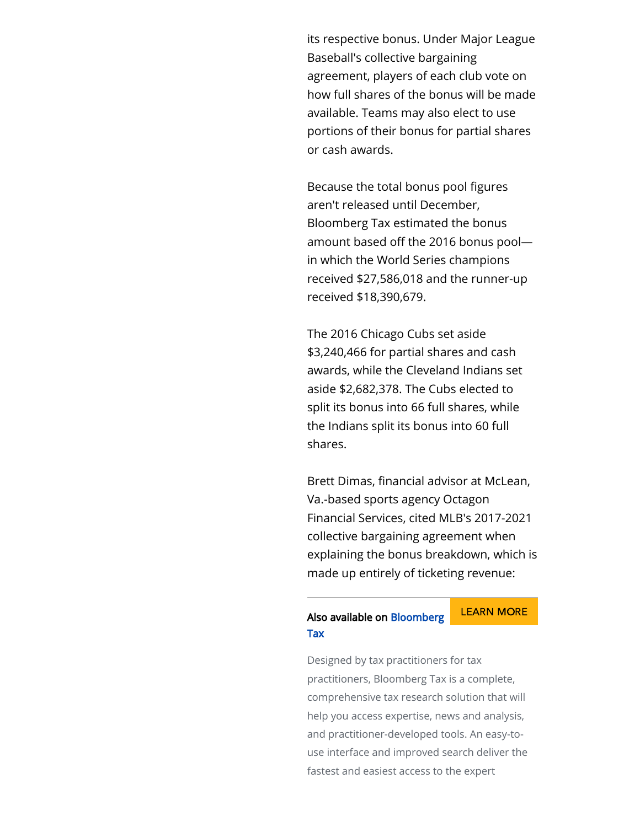its respective bonus. Under Major League Baseball's collective bargaining agreement, players of each club vote on how full shares of the bonus will be made available. Teams may also elect to use portions of their bonus for partial shares or cash awards.

Because the total bonus pool figures aren't released until December, Bloomberg Tax estimated the bonus amount based off the 2016 bonus poolin which the World Series champions received \$27,586,018 and the runner-up received \$18,390,679.

The 2016 Chicago Cubs set aside \$3,240,466 for partial shares and cash awards, while the Cleveland Indians set aside \$2,682,378. The Cubs elected to split its bonus into 66 full shares, while the Indians split its bonus into 60 full shares.

Brett Dimas, financial advisor at McLean, Va.-based sports agency Octagon Financial Services, cited MLB's 2017-2021 collective bargaining agreement when explaining the bonus breakdown, which is made up entirely of ticketing revenue:

#### [LEARN](https://www.bna.com/taxandaccounting/) MORE [Also available on](https://www.bna.com/taxandaccounting/) Bloomberg Tax

Designed by tax practitioners for tax practitioners, Bloomberg Tax is a complete, comprehensive tax research solution that will help you access expertise, news and analysis, and practitioner-developed tools. An easy-touse interface and improved search deliver the fastest and easiest access to the expert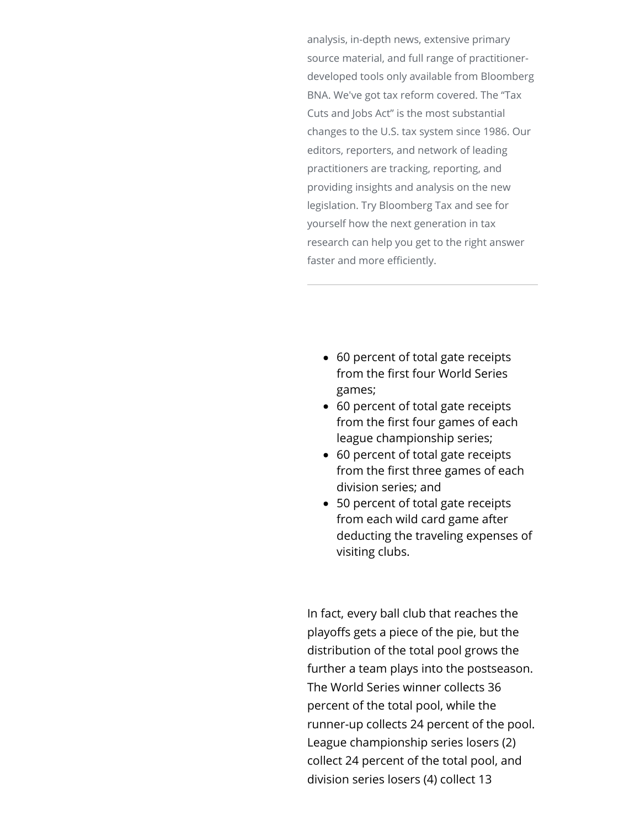analysis, in-depth news, extensive primary source material, and full range of practitionerdeveloped tools only available from Bloomberg BNA. We've got tax reform covered. The "Tax Cuts and Jobs Act" is the most substantial changes to the U.S. tax system since 1986. Our editors, reporters, and network of leading practitioners are tracking, reporting, and providing insights and analysis on the new legislation. Try Bloomberg Tax and see for yourself how the next generation in tax research can help you get to the right answer faster and more efficiently.

- 60 percent of total gate receipts from the first four World Series games;
- 60 percent of total gate receipts from the first four games of each league championship series;
- 60 percent of total gate receipts from the first three games of each division series; and
- 50 percent of total gate receipts from each wild card game after deducting the traveling expenses of visiting clubs.

In fact, every ball club that reaches the playoffs gets a piece of the pie, but the distribution of the total pool grows the further a team plays into the postseason. The World Series winner collects 36 percent of the total pool, while the runner-up collects 24 percent of the pool. League championship series losers (2) collect 24 percent of the total pool, and division series losers (4) collect 13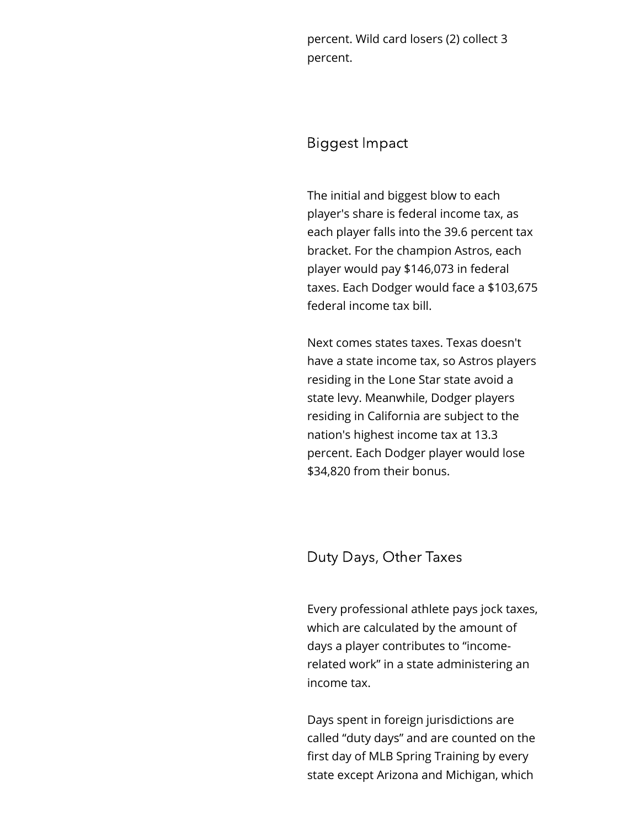percent. Wild card losers (2) collect 3 percent.

## Biggest Impact

The initial and biggest blow to each player's share is federal income tax, as each player falls into the 39.6 percent tax bracket. For the champion Astros, each player would pay \$146,073 in federal taxes. Each Dodger would face a \$103,675 federal income tax bill.

Next comes states taxes. Texas doesn't have a state income tax, so Astros players residing in the Lone Star state avoid a state levy. Meanwhile, Dodger players residing in California are subject to the nation's highest income tax at 13.3 percent. Each Dodger player would lose \$34,820 from their bonus.

## Duty Days, Other Taxes

Every professional athlete pays jock taxes, which are calculated by the amount of days a player contributes to "incomerelated work" in a state administering an income tax.

Days spent in foreign jurisdictions are called "duty days" and are counted on the first day of MLB Spring Training by every state except Arizona and Michigan, which